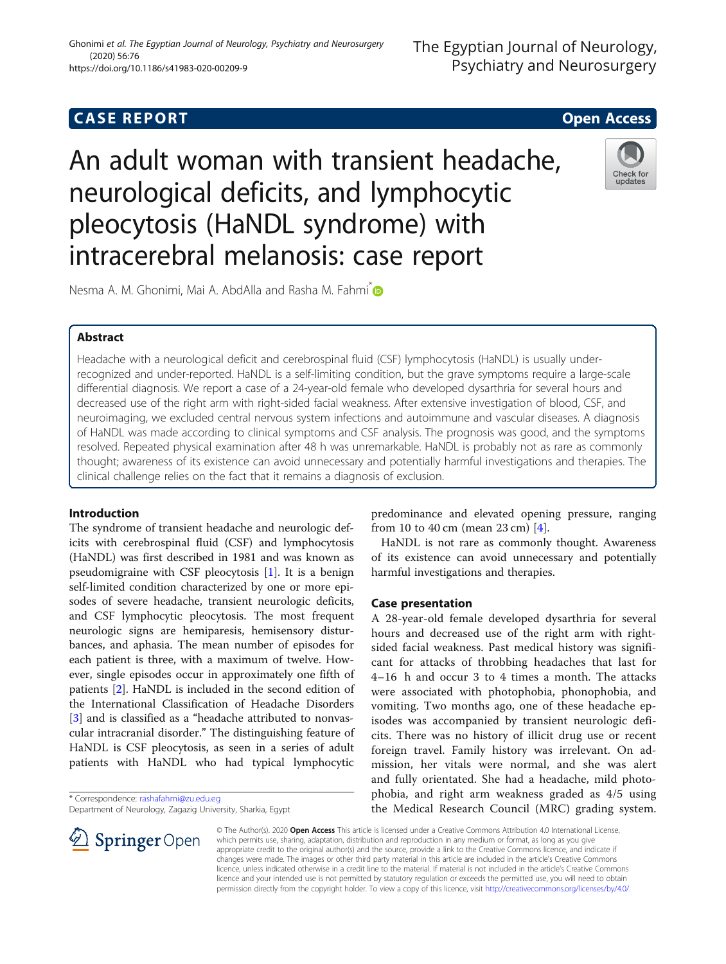# **CASE REPORT And SERVICE SERVICE SERVICE SERVICE SERVICE SERVICE SERVICE SERVICE SERVICE SERVICE SERVICE SERVICE**

An adult woman with transient headache, neurological deficits, and lymphocytic pleocytosis (HaNDL syndrome) with intracerebral melanosis: case report



Nesma A. M. Ghonimi, Mai A. AbdAlla and Rasha M. Fahmi<sup>n</sup>

## Abstract

Headache with a neurological deficit and cerebrospinal fluid (CSF) lymphocytosis (HaNDL) is usually underrecognized and under-reported. HaNDL is a self-limiting condition, but the grave symptoms require a large-scale differential diagnosis. We report a case of a 24-year-old female who developed dysarthria for several hours and decreased use of the right arm with right-sided facial weakness. After extensive investigation of blood, CSF, and neuroimaging, we excluded central nervous system infections and autoimmune and vascular diseases. A diagnosis of HaNDL was made according to clinical symptoms and CSF analysis. The prognosis was good, and the symptoms resolved. Repeated physical examination after 48 h was unremarkable. HaNDL is probably not as rare as commonly thought; awareness of its existence can avoid unnecessary and potentially harmful investigations and therapies. The clinical challenge relies on the fact that it remains a diagnosis of exclusion.

## Introduction

The syndrome of transient headache and neurologic deficits with cerebrospinal fluid (CSF) and lymphocytosis (HaNDL) was first described in 1981 and was known as pseudomigraine with CSF pleocytosis [[1\]](#page-2-0). It is a benign self-limited condition characterized by one or more episodes of severe headache, transient neurologic deficits, and CSF lymphocytic pleocytosis. The most frequent neurologic signs are hemiparesis, hemisensory disturbances, and aphasia. The mean number of episodes for each patient is three, with a maximum of twelve. However, single episodes occur in approximately one fifth of patients [\[2](#page-2-0)]. HaNDL is included in the second edition of the International Classification of Headache Disorders [[3\]](#page-2-0) and is classified as a "headache attributed to nonvascular intracranial disorder." The distinguishing feature of HaNDL is CSF pleocytosis, as seen in a series of adult patients with HaNDL who had typical lymphocytic

\* Correspondence: [rashafahmi@zu.edu.eg](mailto:rashafahmi@zu.edu.eg)

 $\mathscr{L}$  Springer Open

Department of Neurology, Zagazig University, Sharkia, Egypt

predominance and elevated opening pressure, ranging from 10 to 40 cm (mean 23 cm) [[4\]](#page-2-0).

HaNDL is not rare as commonly thought. Awareness of its existence can avoid unnecessary and potentially harmful investigations and therapies.

## Case presentation

A 28-year-old female developed dysarthria for several hours and decreased use of the right arm with rightsided facial weakness. Past medical history was significant for attacks of throbbing headaches that last for 4–16 h and occur 3 to 4 times a month. The attacks were associated with photophobia, phonophobia, and vomiting. Two months ago, one of these headache episodes was accompanied by transient neurologic deficits. There was no history of illicit drug use or recent foreign travel. Family history was irrelevant. On admission, her vitals were normal, and she was alert and fully orientated. She had a headache, mild photophobia, and right arm weakness graded as 4/5 using the Medical Research Council (MRC) grading system.

© The Author(s). 2020 Open Access This article is licensed under a Creative Commons Attribution 4.0 International License, which permits use, sharing, adaptation, distribution and reproduction in any medium or format, as long as you give appropriate credit to the original author(s) and the source, provide a link to the Creative Commons licence, and indicate if changes were made. The images or other third party material in this article are included in the article's Creative Commons licence, unless indicated otherwise in a credit line to the material. If material is not included in the article's Creative Commons licence and your intended use is not permitted by statutory regulation or exceeds the permitted use, you will need to obtain permission directly from the copyright holder. To view a copy of this licence, visit <http://creativecommons.org/licenses/by/4.0/>.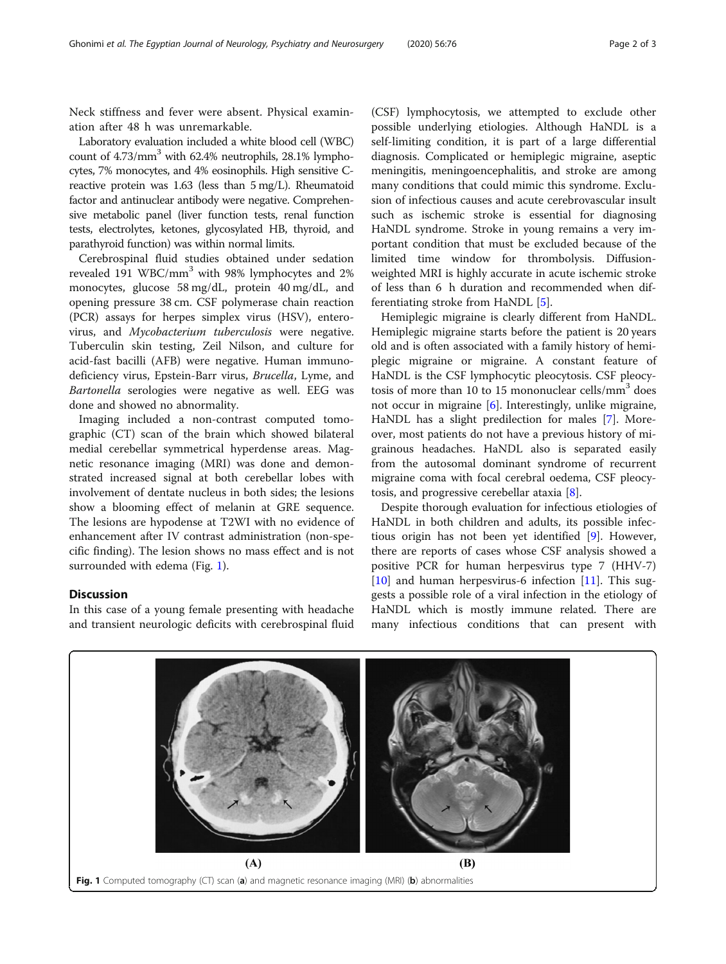Neck stiffness and fever were absent. Physical examination after 48 h was unremarkable.

Laboratory evaluation included a white blood cell (WBC) count of 4.73/mm<sup>3</sup> with 62.4% neutrophils, 28.1% lymphocytes, 7% monocytes, and 4% eosinophils. High sensitive Creactive protein was 1.63 (less than 5 mg/L). Rheumatoid factor and antinuclear antibody were negative. Comprehensive metabolic panel (liver function tests, renal function tests, electrolytes, ketones, glycosylated HB, thyroid, and parathyroid function) was within normal limits.

Cerebrospinal fluid studies obtained under sedation revealed 191 WBC/mm<sup>3</sup> with 98% lymphocytes and 2% monocytes, glucose 58 mg/dL, protein 40 mg/dL, and opening pressure 38 cm. CSF polymerase chain reaction (PCR) assays for herpes simplex virus (HSV), enterovirus, and Mycobacterium tuberculosis were negative. Tuberculin skin testing, Zeil Nilson, and culture for acid-fast bacilli (AFB) were negative. Human immunodeficiency virus, Epstein-Barr virus, Brucella, Lyme, and Bartonella serologies were negative as well. EEG was done and showed no abnormality.

Imaging included a non-contrast computed tomographic (CT) scan of the brain which showed bilateral medial cerebellar symmetrical hyperdense areas. Magnetic resonance imaging (MRI) was done and demonstrated increased signal at both cerebellar lobes with involvement of dentate nucleus in both sides; the lesions show a blooming effect of melanin at GRE sequence. The lesions are hypodense at T2WI with no evidence of enhancement after IV contrast administration (non-specific finding). The lesion shows no mass effect and is not surrounded with edema (Fig. 1).

## Discussion

In this case of a young female presenting with headache and transient neurologic deficits with cerebrospinal fluid

(CSF) lymphocytosis, we attempted to exclude other possible underlying etiologies. Although HaNDL is a self-limiting condition, it is part of a large differential diagnosis. Complicated or hemiplegic migraine, aseptic meningitis, meningoencephalitis, and stroke are among many conditions that could mimic this syndrome. Exclusion of infectious causes and acute cerebrovascular insult such as ischemic stroke is essential for diagnosing HaNDL syndrome. Stroke in young remains a very important condition that must be excluded because of the limited time window for thrombolysis. Diffusionweighted MRI is highly accurate in acute ischemic stroke of less than 6 h duration and recommended when differentiating stroke from HaNDL [\[5](#page-2-0)].

Hemiplegic migraine is clearly different from HaNDL. Hemiplegic migraine starts before the patient is 20 years old and is often associated with a family history of hemiplegic migraine or migraine. A constant feature of HaNDL is the CSF lymphocytic pleocytosis. CSF pleocytosis of more than 10 to 15 mononuclear cells/mm<sup>3</sup> does not occur in migraine  $[6]$  $[6]$ . Interestingly, unlike migraine, HaNDL has a slight predilection for males [[7\]](#page-2-0). Moreover, most patients do not have a previous history of migrainous headaches. HaNDL also is separated easily from the autosomal dominant syndrome of recurrent migraine coma with focal cerebral oedema, CSF pleocytosis, and progressive cerebellar ataxia [\[8](#page-2-0)].

Despite thorough evaluation for infectious etiologies of HaNDL in both children and adults, its possible infectious origin has not been yet identified [[9](#page-2-0)]. However, there are reports of cases whose CSF analysis showed a positive PCR for human herpesvirus type 7 (HHV-7) [[10\]](#page-2-0) and human herpesvirus-6 infection  $[11]$  $[11]$  $[11]$ . This suggests a possible role of a viral infection in the etiology of HaNDL which is mostly immune related. There are many infectious conditions that can present with